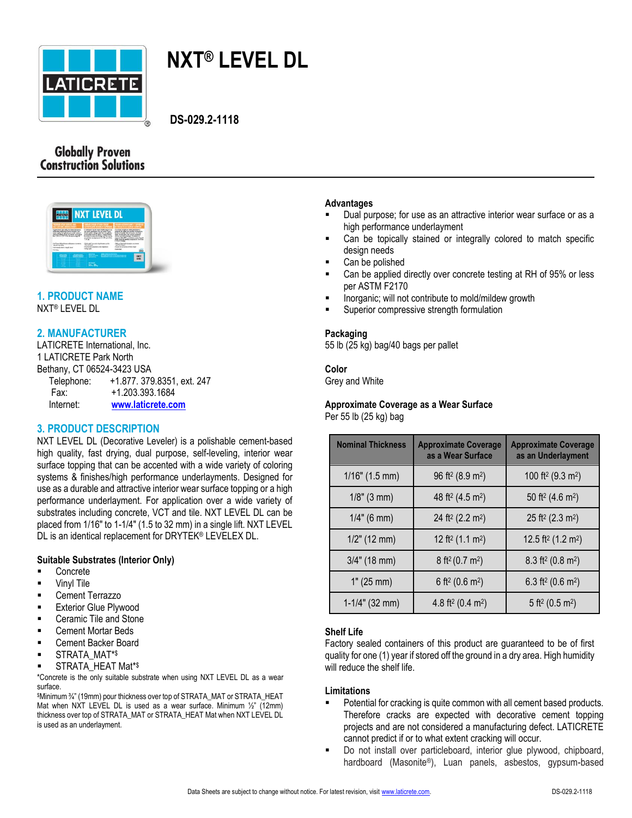

# **NXT® LEVEL DL**

**DS-029.2-1118**

# **Globally Proven<br>Construction Solutions**



# **1. PRODUCT NAME**

NXT® LEVEL DL

# **2. MANUFACTURER**

LATICRETE International, Inc. 1 LATICRETE Park North Bethany, CT 06524-3423 USA Telephone: +1.877. 379.8351, ext. 247 Fax: +1.203.393.1684 Internet: **[www.laticrete.com](http://www.drytek.com/)**

# **3. PRODUCT DESCRIPTION**

NXT LEVEL DL (Decorative Leveler) is a polishable cement-based high quality, fast drying, dual purpose, self-leveling, interior wear surface topping that can be accented with a wide variety of coloring systems & finishes/high performance underlayments. Designed for use as a durable and attractive interior wear surface topping or a high performance underlayment. For application over a wide variety of substrates including concrete, VCT and tile. NXT LEVEL DL can be placed from 1/16" to 1-1/4" (1.5 to 32 mm) in a single lift. NXT LEVEL DL is an identical replacement for DRYTEK® LEVELEX DL.

## **Suitable Substrates (Interior Only)**

- Concrete
- Vinyl Tile
- Cement Terrazzo
- **Exterior Glue Plywood**
- Ceramic Tile and Stone
- Cement Mortar Beds
- Cement Backer Board
- STRATA\_MAT\*\$
- STRATA\_HEAT Mat\* \$

\*Concrete is the only suitable substrate when using NXT LEVEL DL as a wear surface.

\$Minimum ¾" (19mm) pour thickness over top of STRATA\_MAT or STRATA\_HEAT Mat when NXT LEVEL DL is used as a wear surface. Minimum ½" (12mm) thickness over top of STRATA\_MAT or STRATA\_HEAT Mat when NXT LEVEL DL is used as an underlayment.

#### **Advantages**

- Dual purpose; for use as an attractive interior wear surface or as a high performance underlayment
- Can be topically stained or integrally colored to match specific design needs
- Can be polished
- Can be applied directly over concrete testing at RH of 95% or less per ASTM F2170
- Inorganic; will not contribute to mold/mildew growth
- Superior compressive strength formulation

#### **Packaging**

55 lb (25 kg) bag/40 bags per pallet

# **Color**

Grey and White

# **Approximate Coverage as a Wear Surface**

Per 55 lb (25 kg) bag

| <b>Nominal Thickness</b> | <b>Approximate Coverage</b><br>as a Wear Surface | <b>Approximate Coverage</b><br>as an Underlayment |
|--------------------------|--------------------------------------------------|---------------------------------------------------|
| $1/16$ " (1.5 mm)        | 96 ft <sup>2</sup> (8.9 m <sup>2</sup> )         | 100 ft <sup>2</sup> (9.3 m <sup>2</sup> )         |
| $1/8$ " (3 mm)           | 48 ft <sup>2</sup> (4.5 m <sup>2</sup> )         | 50 ft <sup>2</sup> (4.6 m <sup>2</sup> )          |
| $1/4$ " (6 mm)           | 24 ft <sup>2</sup> (2.2 m <sup>2</sup> )         | 25 ft <sup>2</sup> (2.3 m <sup>2</sup> )          |
| $1/2$ " (12 mm)          | 12 ft <sup>2</sup> (1.1 m <sup>2</sup> )         | 12.5 ft <sup>2</sup> $(1.2 \text{ m}^2)$          |
| $3/4$ " (18 mm)          | $8$ ft <sup>2</sup> (0.7 m <sup>2</sup> )        | $8.3$ ft <sup>2</sup> (0.8 m <sup>2</sup> )       |
| 1" (25 mm)               | 6 ft <sup>2</sup> (0.6 m <sup>2</sup> )          | 6.3 ft <sup>2</sup> (0.6 m <sup>2</sup> )         |
| $1-1/4$ " (32 mm)        | 4.8 ft <sup>2</sup> (0.4 m <sup>2</sup> )        | 5 ft <sup>2</sup> (0.5 m <sup>2</sup> )           |

## **Shelf Life**

Factory sealed containers of this product are guaranteed to be of first quality for one (1) year if stored off the ground in a dry area. High humidity will reduce the shelf life.

#### **Limitations**

- Potential for cracking is quite common with all cement based products. Therefore cracks are expected with decorative cement topping projects and are not considered a manufacturing defect. LATICRETE cannot predict if or to what extent cracking will occur.
- Do not install over particleboard, interior glue plywood, chipboard, hardboard (Masonite®), Luan panels, asbestos, gypsum-based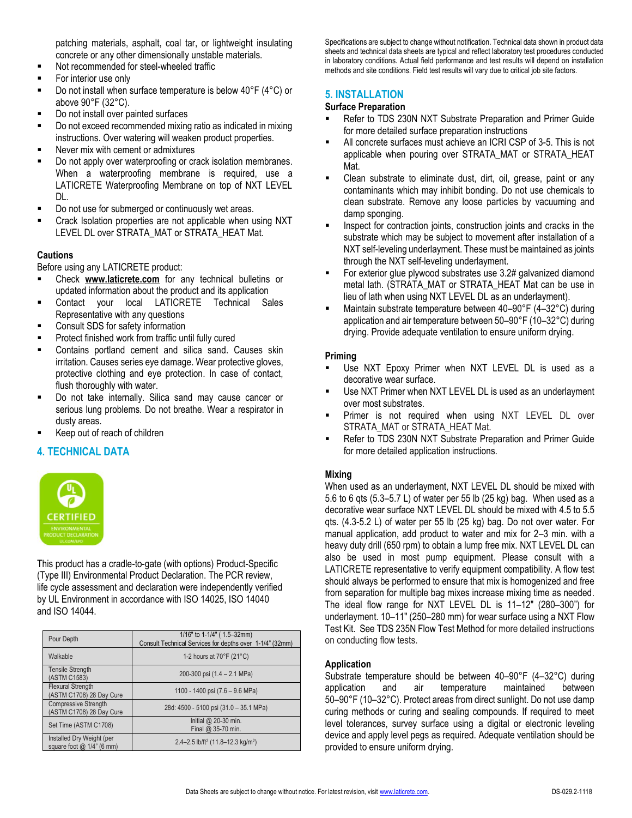patching materials, asphalt, coal tar, or lightweight insulating concrete or any other dimensionally unstable materials.

- Not recommended for steel-wheeled traffic
- For interior use only
- Do not install when surface temperature is below 40°F (4°C) or above 90°F (32°C).
- Do not install over painted surfaces
- Do not exceed recommended mixing ratio as indicated in mixing instructions. Over watering will weaken product properties.
- Never mix with cement or admixtures
- Do not apply over waterproofing or crack isolation membranes. When a waterproofing membrane is required, use a LATICRETE Waterproofing Membrane on top of NXT LEVEL DL.
- Do not use for submerged or continuously wet areas.
- Crack Isolation properties are not applicable when using NXT LEVEL DL over STRATA\_MAT or STRATA\_HEAT Mat.

### **Cautions**

Before using any LATICRETE product:

- Check **[www.laticrete.com](http://www.drytek.com/)** for any technical bulletins or updated information about the product and its application
- Contact your local LATICRETE Technical Sales Representative with any questions
- Consult SDS for safety information
- Protect finished work from traffic until fully cured
- **EXECONTERGO CONTERGO CONTER** FOOTENDING SAND CONTERGO EXAMPLED FOOTENDING SAND CONTERGO SAND CONTERGO SAND CONTERGO SAND CONTERGO SAND CONTERGO SAND CONTERGO SAND CONTERGO SAND CONTERGO SAND CONTERGO SAND CONTERGO SAND CO irritation. Causes series eye damage. Wear protective gloves, protective clothing and eye protection. In case of contact, flush thoroughly with water.
- Do not take internally. Silica sand may cause cancer or serious lung problems. Do not breathe. Wear a respirator in dusty areas.
- Keep out of reach of children

## **4. TECHNICAL DATA**



This product has a cradle-to-gate (with options) Product-Specific (Type III) Environmental Product Declaration. The PCR review, life cycle assessment and declaration were independently verified by UL Environment in accordance with ISO 14025, ISO 14040 and ISO 14044.

| Pour Depth                                              | 1/16" to 1-1/4" (1.5-32mm)<br>Consult Technical Services for depths over 1-1/4" (32mm) |  |
|---------------------------------------------------------|----------------------------------------------------------------------------------------|--|
| Walkable                                                | 1-2 hours at $70^{\circ}$ F (21 $^{\circ}$ C)                                          |  |
| <b>Tensile Strength</b><br>(ASTM C1583)                 | 200-300 psi (1.4 - 2.1 MPa)                                                            |  |
| <b>Flexural Strength</b><br>(ASTM C1708) 28 Day Cure    | 1100 - 1400 psi (7.6 - 9.6 MPa)                                                        |  |
| <b>Compressive Strength</b><br>(ASTM C1708) 28 Day Cure | 28d: 4500 - 5100 psi (31.0 - 35.1 MPa)                                                 |  |
| Set Time (ASTM C1708)                                   | Initial $@$ 20-30 min.<br>Final @ 35-70 min.                                           |  |
| Installed Dry Weight (per<br>square foot $@1/4"$ (6 mm) | 2.4-2.5 lb/ft <sup>2</sup> (11.8-12.3 kg/m <sup>2</sup> )                              |  |

Specifications are subject to change without notification. Technical data shown in product data sheets and technical data sheets are typical and reflect laboratory test procedures conducted in laboratory conditions. Actual field performance and test results will depend on installation methods and site conditions. Field test results will vary due to critical job site factors.

### **5. INSTALLATION**

#### **Surface Preparation**

- Refer to TDS 230N NXT Substrate Preparation and Primer Guide for more detailed surface preparation instructions
- All concrete surfaces must achieve an ICRI CSP of 3-5. This is not applicable when pouring over STRATA\_MAT or STRATA\_HEAT Mat.
- Clean substrate to eliminate dust, dirt, oil, grease, paint or any contaminants which may inhibit bonding. Do not use chemicals to clean substrate. Remove any loose particles by vacuuming and damp sponging.
- Inspect for contraction joints, construction joints and cracks in the substrate which may be subject to movement after installation of a NXT self-leveling underlayment. These must be maintained as joints through the NXT self-leveling underlayment.
- For exterior glue plywood substrates use 3.2# galvanized diamond metal lath. (STRATA\_MAT or STRATA\_HEAT Mat can be use in lieu of lath when using NXT LEVEL DL as an underlayment).
- Maintain substrate temperature between 40–90°F (4–32°C) during application and air temperature between 50–90°F (10–32°C) during drying. Provide adequate ventilation to ensure uniform drying.

#### **Priming**

- Use NXT Epoxy Primer when NXT LEVEL DL is used as a decorative wear surface.
- Use NXT Primer when NXT LEVEL DL is used as an underlayment over most substrates.
- **Primer is not required when using NXT LEVEL DL over** STRATA\_MAT or STRATA\_HEAT Mat.
- Refer to TDS 230N NXT Substrate Preparation and Primer Guide for more detailed application instructions.

#### **Mixing**

When used as an underlayment, NXT LEVEL DL should be mixed with 5.6 to 6 qts (5.3–5.7 L) of water per 55 lb (25 kg) bag. When used as a decorative wear surface NXT LEVEL DL should be mixed with 4.5 to 5.5 qts. (4.3-5.2 L) of water per 55 lb (25 kg) bag. Do not over water. For manual application, add product to water and mix for 2–3 min. with a heavy duty drill (650 rpm) to obtain a lump free mix. NXT LEVEL DL can also be used in most pump equipment. Please consult with a LATICRETE representative to verify equipment compatibility. A flow test should always be performed to ensure that mix is homogenized and free from separation for multiple bag mixes increase mixing time as needed. The ideal flow range for NXT LEVEL DL is 11–12" (280–300") for underlayment. 10–11" (250–280 mm) for wear surface using a NXT Flow Test Kit. See TDS 235N Flow Test Method for more detailed instructions on conducting flow tests.

#### **Application**

Substrate temperature should be between 40–90°F (4–32°C) during application and air temperature maintained between 50–90°F (10–32°C). Protect areas from direct sunlight. Do not use damp curing methods or curing and sealing compounds. If required to meet level tolerances, survey surface using a digital or electronic leveling device and apply level pegs as required. Adequate ventilation should be provided to ensure uniform drying.